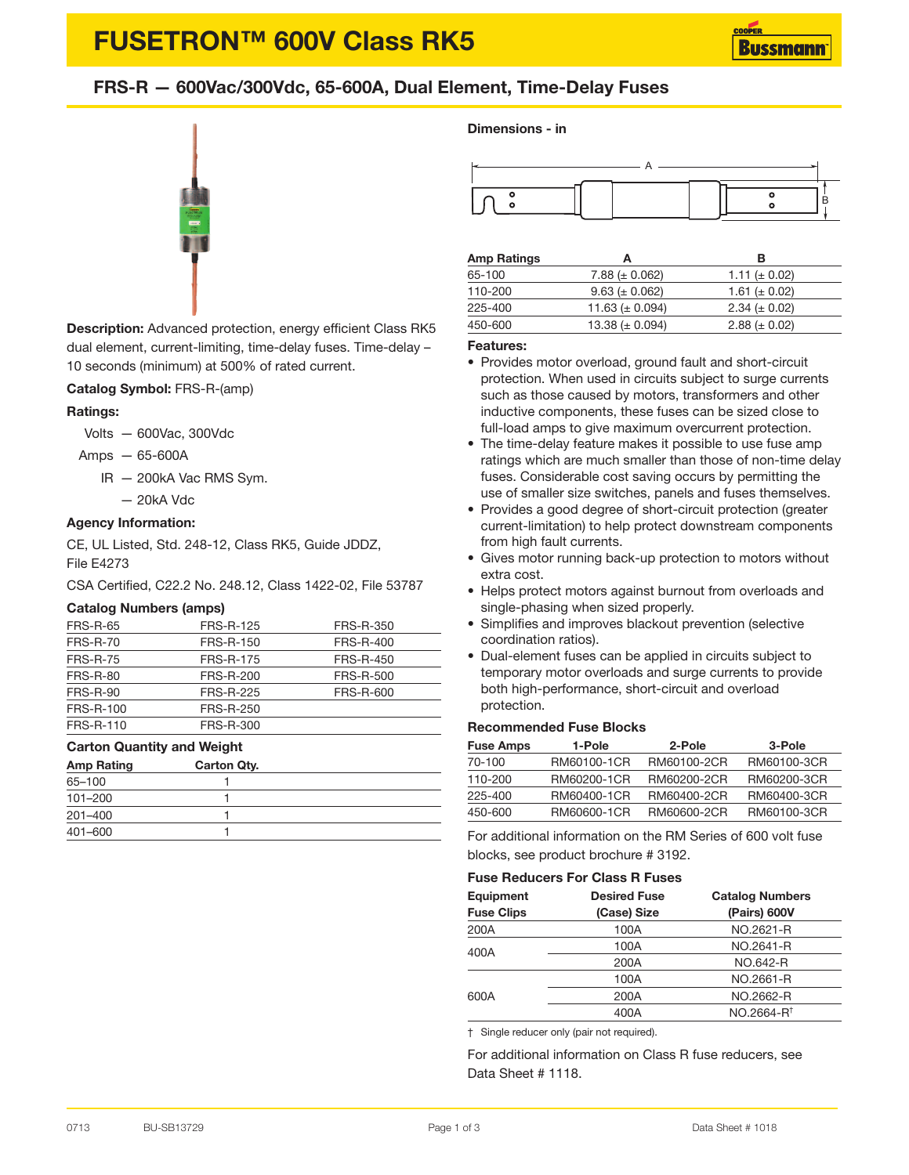# **FUSETRON™ 600V Class RK5**

### **FRS-R — 600Vac/300Vdc, 65-600A, Dual Element, Time-Delay Fuses**



**Description:** Advanced protection, energy efficient Class RK5 dual element, current-limiting, time-delay fuses. Time-delay – 10 seconds (minimum) at 500% of rated current.

#### **Catalog Symbol:** FRS-R-(amp)

#### **Ratings:**

Volts — 600Vac, 300Vdc

- Amps 65-600A
	- IR 200kA Vac RMS Sym.
		- 20kA Vdc

#### **Agency Information:**

CE, UL Listed, Std. 248-12, Class RK5, Guide JDDZ, File E4273

CSA Certified, C22.2 No. 248.12, Class 1422-02, File 53787

#### **Catalog Numbers (amps)**

| <b>FRS-R-65</b> | <b>FRS-R-125</b> | FRS-R-350        |
|-----------------|------------------|------------------|
| <b>FRS-R-70</b> | FRS-R-150        | <b>FRS-R-400</b> |
| <b>FRS-R-75</b> | <b>FRS-R-175</b> | <b>FRS-R-450</b> |
| <b>FRS-R-80</b> | <b>FRS-R-200</b> | <b>FRS-R-500</b> |
| <b>FRS-R-90</b> | <b>FRS-R-225</b> | FRS-R-600        |
| FRS-R-100       | <b>FRS-R-250</b> |                  |
| FRS-R-110       | FRS-R-300        |                  |

#### **Carton Quantity and Weight**

| <b>Amp Rating</b> | Carton Qty. |  |
|-------------------|-------------|--|
| 65-100            |             |  |
| 101-200           |             |  |
| $201 - 400$       |             |  |
| 401-600           |             |  |

#### **Dimensions - in**



| <b>Amp Ratings</b> | А                    | в                   |
|--------------------|----------------------|---------------------|
| 65-100             | $7.88 (\pm 0.062)$   | 1.11 ( $\pm$ 0.02)  |
| 110-200            | $9.63 (\pm 0.062)$   | 1.61 ( $\pm$ 0.02)  |
| 225-400            | 11.63 ( $\pm$ 0.094) | $2.34 \ (\pm 0.02)$ |
| 450-600            | 13.38 ( $\pm$ 0.094) | $2.88 \ (\pm 0.02)$ |

#### **Features:**

- Provides motor overload, ground fault and short-circuit protection. When used in circuits subject to surge currents such as those caused by motors, transformers and other inductive components, these fuses can be sized close to full-load amps to give maximum overcurrent protection.
- The time-delay feature makes it possible to use fuse amp ratings which are much smaller than those of non-time delay fuses. Considerable cost saving occurs by permitting the use of smaller size switches, panels and fuses themselves.
- Provides a good degree of short-circuit protection (greater current-limitation) to help protect downstream components from high fault currents.
- Gives motor running back-up protection to motors without extra cost.
- Helps protect motors against burnout from overloads and single-phasing when sized properly.
- Simplifies and improves blackout prevention (selective coordination ratios).
- Dual-element fuses can be applied in circuits subject to temporary motor overloads and surge currents to provide both high-performance, short-circuit and overload protection.

#### **Recommended Fuse Blocks**

| <b>Fuse Amps</b> | 1-Pole      | 2-Pole      | 3-Pole      |
|------------------|-------------|-------------|-------------|
| 70-100           | RM60100-1CR | RM60100-2CR | RM60100-3CR |
| 110-200          | RM60200-1CR | RM60200-2CR | RM60200-3CR |
| 225-400          | RM60400-1CR | RM60400-2CR | RM60400-3CR |
| 450-600          | RM60600-1CR | RM60600-2CR | RM60100-3CR |

For additional information on the RM Series of 600 volt fuse blocks, see product brochure # 3192.

#### **Fuse Reducers For Class R Fuses**

| Equipment         | <b>Desired Fuse</b> | <b>Catalog Numbers</b> |  |
|-------------------|---------------------|------------------------|--|
| <b>Fuse Clips</b> | (Case) Size         | (Pairs) 600V           |  |
| 200A              | 100A                | NO.2621-R              |  |
| 400A              | 100A                | NO.2641-R              |  |
|                   | 200A                | NO.642-R               |  |
|                   | 100A                | NO.2661-R              |  |
| 600A              | 200A                | NO.2662-R              |  |
|                   | 400A                | NO.2664-R <sup>t</sup> |  |

† Single reducer only (pair not required).

For additional information on Class R fuse reducers, see Data Sheet # 1118.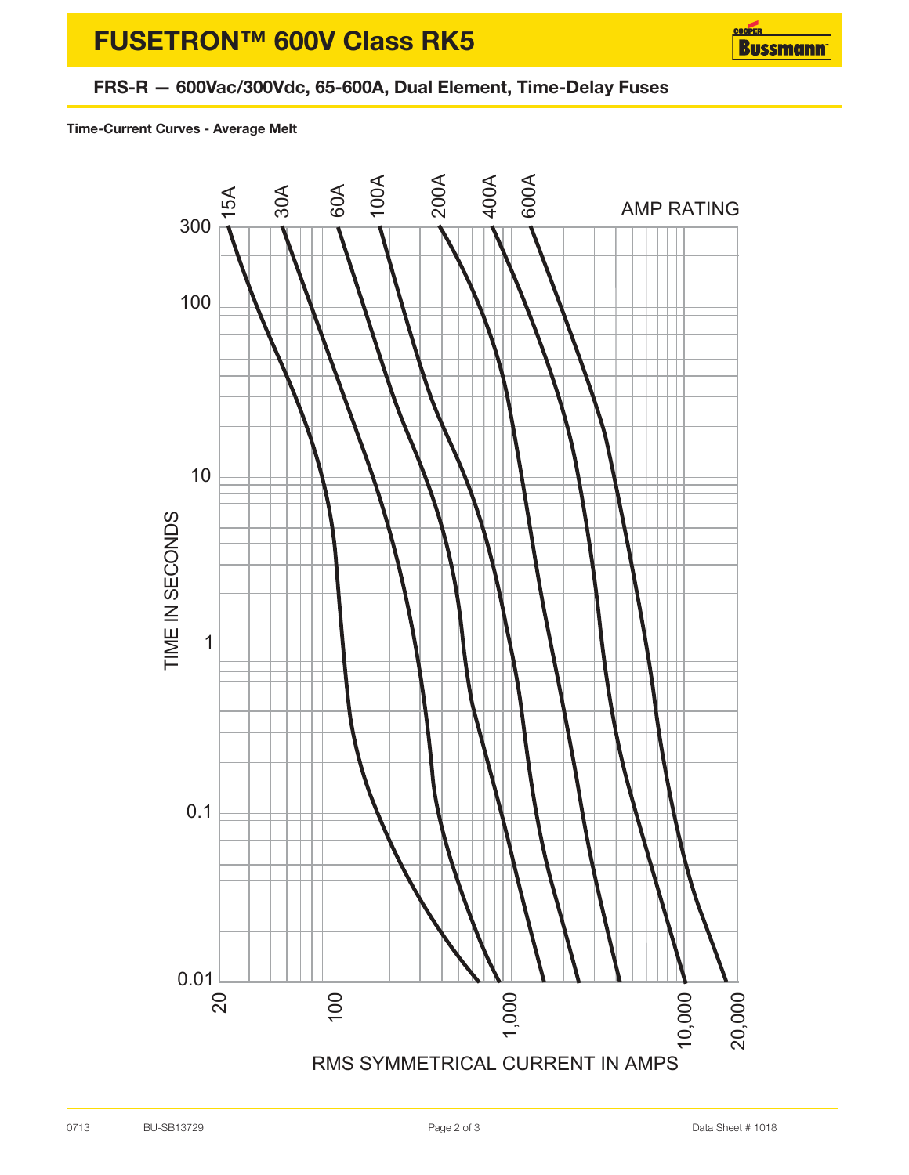# **FUSETRON™ 600V Class RK5**



### **FRS-R — 600Vac/300Vdc, 65-600A, Dual Element, Time-Delay Fuses**

**Time-Current Curves - Average Melt**